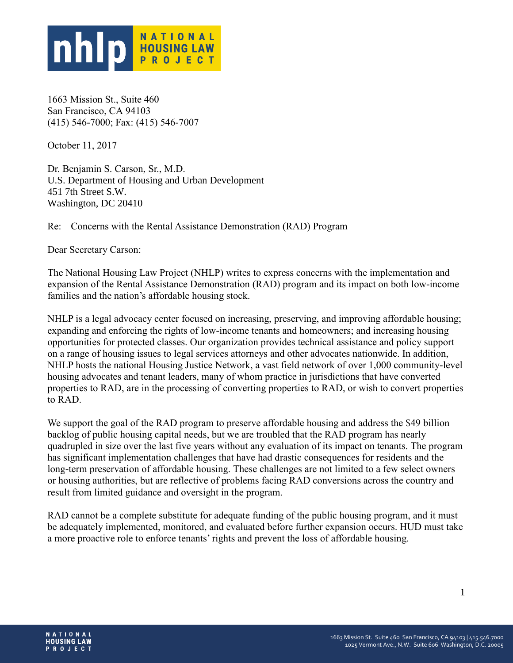

1663 Mission St., Suite 460 San Francisco, CA 94103 (415) 546-7000; Fax: (415) 546-7007

October 11, 2017

Dr. Benjamin S. Carson, Sr., M.D. U.S. Department of Housing and Urban Development 451 7th Street S.W. Washington, DC 20410

Re: Concerns with the Rental Assistance Demonstration (RAD) Program

Dear Secretary Carson:

The National Housing Law Project (NHLP) writes to express concerns with the implementation and expansion of the Rental Assistance Demonstration (RAD) program and its impact on both low-income families and the nation's affordable housing stock.

NHLP is a legal advocacy center focused on increasing, preserving, and improving affordable housing; expanding and enforcing the rights of low-income tenants and homeowners; and increasing housing opportunities for protected classes. Our organization provides technical assistance and policy support on a range of housing issues to legal services attorneys and other advocates nationwide. In addition, NHLP hosts the national Housing Justice Network, a vast field network of over 1,000 community-level housing advocates and tenant leaders, many of whom practice in jurisdictions that have converted properties to RAD, are in the processing of converting properties to RAD, or wish to convert properties to RAD.

We support the goal of the RAD program to preserve affordable housing and address the \$49 billion backlog of public housing capital needs, but we are troubled that the RAD program has nearly quadrupled in size over the last five years without any evaluation of its impact on tenants. The program has significant implementation challenges that have had drastic consequences for residents and the long-term preservation of affordable housing. These challenges are not limited to a few select owners or housing authorities, but are reflective of problems facing RAD conversions across the country and result from limited guidance and oversight in the program.

RAD cannot be a complete substitute for adequate funding of the public housing program, and it must be adequately implemented, monitored, and evaluated before further expansion occurs. HUD must take a more proactive role to enforce tenants' rights and prevent the loss of affordable housing.

1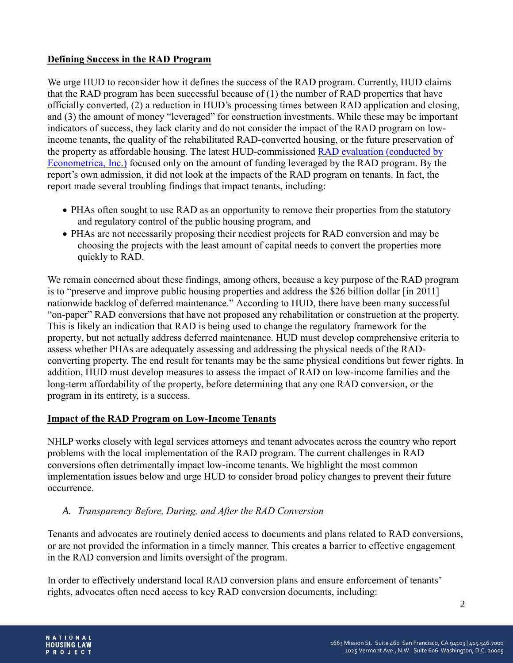## **Defining Success in the RAD Program**

We urge HUD to reconsider how it defines the success of the RAD program. Currently, HUD claims that the RAD program has been successful because of (1) the number of RAD properties that have officially converted, (2) a reduction in HUD's processing times between RAD application and closing, and (3) the amount of money "leveraged" for construction investments. While these may be important indicators of success, they lack clarity and do not consider the impact of the RAD program on lowincome tenants, the quality of the rehabilitated RAD-converted housing, or the future preservation of the property as affordable housing. The latest HUD-commissioned RAD evaluation [\(conducted](http://portal.hud.gov/hudportal/documents/huddoc?id=RAD_InterimRpt_Final.pdf) by [Econometrica,](http://portal.hud.gov/hudportal/documents/huddoc?id=RAD_InterimRpt_Final.pdf) Inc.) focused only on the amount of funding leveraged by the RAD program. By the report's own admission, it did not look at the impacts of the RAD program on tenants. In fact, the report made several troubling findings that impact tenants, including:

- PHAs often sought to use RAD as an opportunity to remove their properties from the statutory and regulatory control of the public housing program, and
- PHAs are not necessarily proposing their neediest projects for RAD conversion and may be choosing the projects with the least amount of capital needs to convert the properties more quickly to RAD.

We remain concerned about these findings, among others, because a key purpose of the RAD program is to "preserve and improve public housing properties and address the \$26 billion dollar [in 2011] nationwide backlog of deferred maintenance." According to HUD, there have been many successful "on-paper" RAD conversions that have not proposed any rehabilitation or construction at the property. This is likely an indication that RAD is being used to change the regulatory framework for the property, but not actually address deferred maintenance. HUD must develop comprehensive criteria to assess whether PHAs are adequately assessing and addressing the physical needs of the RADconverting property. The end result for tenants may be the same physical conditions but fewer rights. In addition, HUD must develop measures to assess the impact of RAD on low-income families and the long-term affordability of the property, before determining that any one RAD conversion, or the program in its entirety, is a success.

## **Impact of the RAD Program on Low-Income Tenants**

NHLP works closely with legal services attorneys and tenant advocates across the country who report problems with the local implementation of the RAD program. The current challenges in RAD conversions often detrimentally impact low-income tenants. We highlight the most common implementation issues below and urge HUD to consider broad policy changes to prevent their future occurrence.

## *A. Transparency Before, During, and After the RAD Conversion*

Tenants and advocates are routinely denied access to documents and plans related to RAD conversions, or are not provided the information in a timely manner. This creates a barrier to effective engagement in the RAD conversion and limits oversight of the program.

In order to effectively understand local RAD conversion plans and ensure enforcement of tenants' rights, advocates often need access to key RAD conversion documents, including: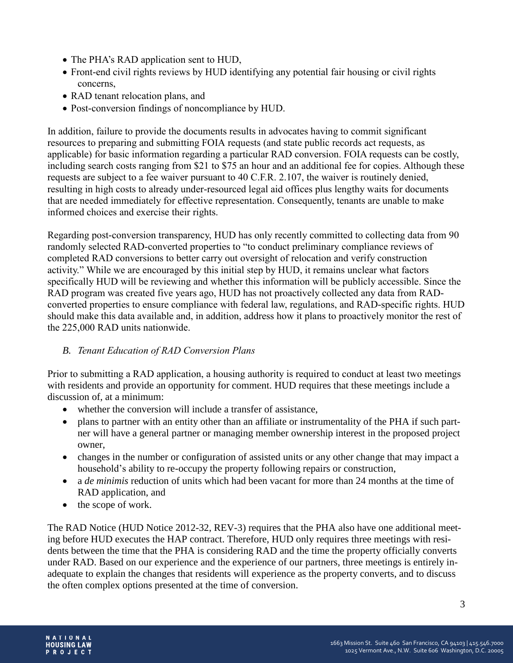- The PHA's RAD application sent to HUD,
- Front-end civil rights reviews by HUD identifying any potential fair housing or civil rights concerns,
- RAD tenant relocation plans, and
- Post-conversion findings of noncompliance by HUD.

In addition, failure to provide the documents results in advocates having to commit significant resources to preparing and submitting FOIA requests (and state public records act requests, as applicable) for basic information regarding a particular RAD conversion. FOIA requests can be costly, including search costs ranging from \$21 to \$75 an hour and an additional fee for copies. Although these requests are subject to a fee waiver pursuant to 40 C.F.R. 2.107, the waiver is routinely denied, resulting in high costs to already under-resourced legal aid offices plus lengthy waits for documents that are needed immediately for effective representation. Consequently, tenants are unable to make informed choices and exercise their rights.

Regarding post-conversion transparency, HUD has only recently committed to collecting data from 90 randomly selected RAD-converted properties to "to conduct preliminary compliance reviews of completed RAD conversions to better carry out oversight of relocation and verify construction activity." While we are encouraged by this initial step by HUD, it remains unclear what factors specifically HUD will be reviewing and whether this information will be publicly accessible. Since the RAD program was created five years ago, HUD has not proactively collected any data from RADconverted properties to ensure compliance with federal law, regulations, and RAD-specific rights. HUD should make this data available and, in addition, address how it plans to proactively monitor the rest of the 225,000 RAD units nationwide.

## *B. Tenant Education of RAD Conversion Plans*

Prior to submitting a RAD application, a housing authority is required to conduct at least two meetings with residents and provide an opportunity for comment. HUD requires that these meetings include a discussion of, at a minimum:

- whether the conversion will include a transfer of assistance.
- plans to partner with an entity other than an affiliate or instrumentality of the PHA if such partner will have a general partner or managing member ownership interest in the proposed project owner,
- changes in the number or configuration of assisted units or any other change that may impact a household's ability to re-occupy the property following repairs or construction,
- a *de minimis* reduction of units which had been vacant for more than 24 months at the time of RAD application, and
- the scope of work.

The RAD Notice (HUD Notice 2012-32, REV-3) requires that the PHA also have one additional meeting before HUD executes the HAP contract. Therefore, HUD only requires three meetings with residents between the time that the PHA is considering RAD and the time the property officially converts under RAD. Based on our experience and the experience of our partners, three meetings is entirely inadequate to explain the changes that residents will experience as the property converts, and to discuss the often complex options presented at the time of conversion.

3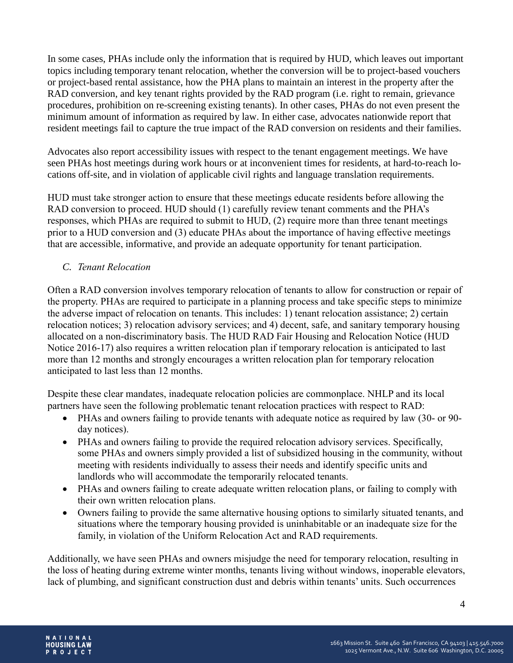In some cases, PHAs include only the information that is required by HUD, which leaves out important topics including temporary tenant relocation, whether the conversion will be to project-based vouchers or project-based rental assistance, how the PHA plans to maintain an interest in the property after the RAD conversion, and key tenant rights provided by the RAD program (i.e. right to remain, grievance procedures, prohibition on re-screening existing tenants). In other cases, PHAs do not even present the minimum amount of information as required by law. In either case, advocates nationwide report that resident meetings fail to capture the true impact of the RAD conversion on residents and their families.

Advocates also report accessibility issues with respect to the tenant engagement meetings. We have seen PHAs host meetings during work hours or at inconvenient times for residents, at hard-to-reach locations off-site, and in violation of applicable civil rights and language translation requirements.

HUD must take stronger action to ensure that these meetings educate residents before allowing the RAD conversion to proceed. HUD should (1) carefully review tenant comments and the PHA's responses, which PHAs are required to submit to HUD, (2) require more than three tenant meetings prior to a HUD conversion and (3) educate PHAs about the importance of having effective meetings that are accessible, informative, and provide an adequate opportunity for tenant participation.

## *C. Tenant Relocation*

Often a RAD conversion involves temporary relocation of tenants to allow for construction or repair of the property. PHAs are required to participate in a planning process and take specific steps to minimize the adverse impact of relocation on tenants. This includes: 1) tenant relocation assistance; 2) certain relocation notices; 3) relocation advisory services; and 4) decent, safe, and sanitary temporary housing allocated on a non-discriminatory basis. The HUD RAD Fair Housing and Relocation Notice (HUD Notice 2016-17) also requires a written relocation plan if temporary relocation is anticipated to last more than 12 months and strongly encourages a written relocation plan for temporary relocation anticipated to last less than 12 months.

Despite these clear mandates, inadequate relocation policies are commonplace. NHLP and its local partners have seen the following problematic tenant relocation practices with respect to RAD:

- PHAs and owners failing to provide tenants with adequate notice as required by law (30- or 90 day notices).
- PHAs and owners failing to provide the required relocation advisory services. Specifically, some PHAs and owners simply provided a list of subsidized housing in the community, without meeting with residents individually to assess their needs and identify specific units and landlords who will accommodate the temporarily relocated tenants.
- PHAs and owners failing to create adequate written relocation plans, or failing to comply with their own written relocation plans.
- Owners failing to provide the same alternative housing options to similarly situated tenants, and situations where the temporary housing provided is uninhabitable or an inadequate size for the family, in violation of the Uniform Relocation Act and RAD requirements.

Additionally, we have seen PHAs and owners misjudge the need for temporary relocation, resulting in the loss of heating during extreme winter months, tenants living without windows, inoperable elevators, lack of plumbing, and significant construction dust and debris within tenants' units. Such occurrences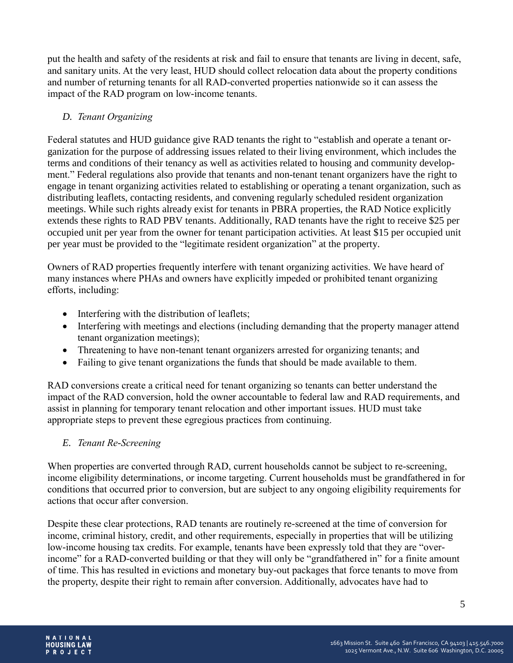put the health and safety of the residents at risk and fail to ensure that tenants are living in decent, safe, and sanitary units. At the very least, HUD should collect relocation data about the property conditions and number of returning tenants for all RAD-converted properties nationwide so it can assess the impact of the RAD program on low-income tenants.

## *D. Tenant Organizing*

Federal statutes and HUD guidance give RAD tenants the right to "establish and operate a tenant organization for the purpose of addressing issues related to their living environment, which includes the terms and conditions of their tenancy as well as activities related to housing and community development." Federal regulations also provide that tenants and non-tenant tenant organizers have the right to engage in tenant organizing activities related to establishing or operating a tenant organization, such as distributing leaflets, contacting residents, and convening regularly scheduled resident organization meetings. While such rights already exist for tenants in PBRA properties, the RAD Notice explicitly extends these rights to RAD PBV tenants. Additionally, RAD tenants have the right to receive \$25 per occupied unit per year from the owner for tenant participation activities. At least \$15 per occupied unit per year must be provided to the "legitimate resident organization" at the property.

Owners of RAD properties frequently interfere with tenant organizing activities. We have heard of many instances where PHAs and owners have explicitly impeded or prohibited tenant organizing efforts, including:

- Interfering with the distribution of leaflets;
- Interfering with meetings and elections (including demanding that the property manager attend tenant organization meetings);
- Threatening to have non-tenant tenant organizers arrested for organizing tenants; and
- Failing to give tenant organizations the funds that should be made available to them.

RAD conversions create a critical need for tenant organizing so tenants can better understand the impact of the RAD conversion, hold the owner accountable to federal law and RAD requirements, and assist in planning for temporary tenant relocation and other important issues. HUD must take appropriate steps to prevent these egregious practices from continuing.

## *E. Tenant Re-Screening*

When properties are converted through RAD, current households cannot be subject to re-screening, income eligibility determinations, or income targeting. Current households must be grandfathered in for conditions that occurred prior to conversion, but are subject to any ongoing eligibility requirements for actions that occur after conversion.

Despite these clear protections, RAD tenants are routinely re-screened at the time of conversion for income, criminal history, credit, and other requirements, especially in properties that will be utilizing low-income housing tax credits. For example, tenants have been expressly told that they are "overincome" for a RAD-converted building or that they will only be "grandfathered in" for a finite amount of time. This has resulted in evictions and monetary buy-out packages that force tenants to move from the property, despite their right to remain after conversion. Additionally, advocates have had to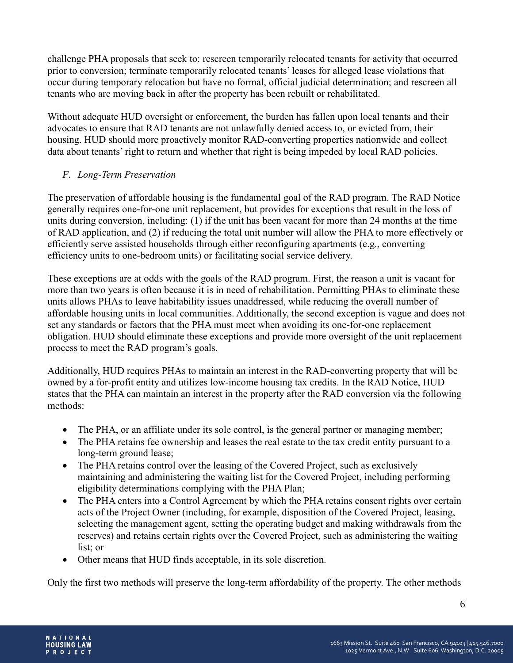challenge PHA proposals that seek to: rescreen temporarily relocated tenants for activity that occurred prior to conversion; terminate temporarily relocated tenants' leases for alleged lease violations that occur during temporary relocation but have no formal, official judicial determination; and rescreen all tenants who are moving back in after the property has been rebuilt or rehabilitated.

Without adequate HUD oversight or enforcement, the burden has fallen upon local tenants and their advocates to ensure that RAD tenants are not unlawfully denied access to, or evicted from, their housing. HUD should more proactively monitor RAD-converting properties nationwide and collect data about tenants' right to return and whether that right is being impeded by local RAD policies.

# *F. Long-Term Preservation*

The preservation of affordable housing is the fundamental goal of the RAD program. The RAD Notice generally requires one-for-one unit replacement, but provides for exceptions that result in the loss of units during conversion, including: (1) if the unit has been vacant for more than 24 months at the time of RAD application, and (2) if reducing the total unit number will allow the PHA to more effectively or efficiently serve assisted households through either reconfiguring apartments (e.g., converting efficiency units to one-bedroom units) or facilitating social service delivery.

These exceptions are at odds with the goals of the RAD program. First, the reason a unit is vacant for more than two years is often because it is in need of rehabilitation. Permitting PHAs to eliminate these units allows PHAs to leave habitability issues unaddressed, while reducing the overall number of affordable housing units in local communities. Additionally, the second exception is vague and does not set any standards or factors that the PHA must meet when avoiding its one-for-one replacement obligation. HUD should eliminate these exceptions and provide more oversight of the unit replacement process to meet the RAD program's goals.

Additionally, HUD requires PHAs to maintain an interest in the RAD-converting property that will be owned by a for-profit entity and utilizes low-income housing tax credits. In the RAD Notice, HUD states that the PHA can maintain an interest in the property after the RAD conversion via the following methods:

- The PHA, or an affiliate under its sole control, is the general partner or managing member;
- The PHA retains fee ownership and leases the real estate to the tax credit entity pursuant to a long-term ground lease;
- The PHA retains control over the leasing of the Covered Project, such as exclusively maintaining and administering the waiting list for the Covered Project, including performing eligibility determinations complying with the PHA Plan;
- The PHA enters into a Control Agreement by which the PHA retains consent rights over certain acts of the Project Owner (including, for example, disposition of the Covered Project, leasing, selecting the management agent, setting the operating budget and making withdrawals from the reserves) and retains certain rights over the Covered Project, such as administering the waiting list; or
- Other means that HUD finds acceptable, in its sole discretion.

Only the first two methods will preserve the long-term affordability of the property. The other methods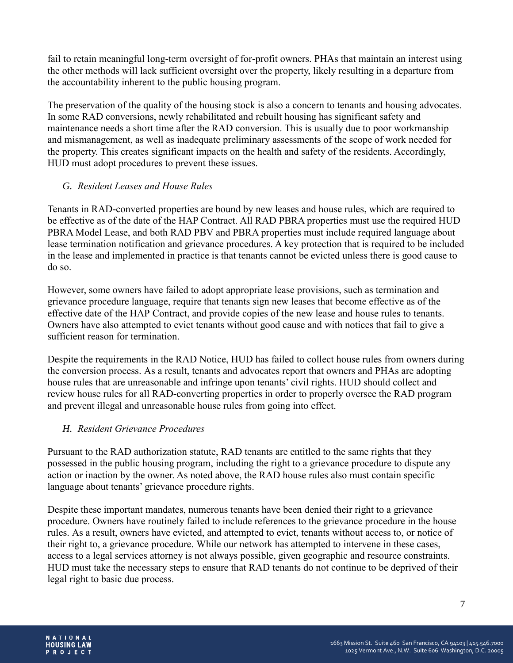fail to retain meaningful long-term oversight of for-profit owners. PHAs that maintain an interest using the other methods will lack sufficient oversight over the property, likely resulting in a departure from the accountability inherent to the public housing program.

The preservation of the quality of the housing stock is also a concern to tenants and housing advocates. In some RAD conversions, newly rehabilitated and rebuilt housing has significant safety and maintenance needs a short time after the RAD conversion. This is usually due to poor workmanship and mismanagement, as well as inadequate preliminary assessments of the scope of work needed for the property. This creates significant impacts on the health and safety of the residents. Accordingly, HUD must adopt procedures to prevent these issues.

## *G. Resident Leases and House Rules*

Tenants in RAD-converted properties are bound by new leases and house rules, which are required to be effective as of the date of the HAP Contract. All RAD PBRA properties must use the required HUD PBRA Model Lease, and both RAD PBV and PBRA properties must include required language about lease termination notification and grievance procedures. A key protection that is required to be included in the lease and implemented in practice is that tenants cannot be evicted unless there is good cause to do so.

However, some owners have failed to adopt appropriate lease provisions, such as termination and grievance procedure language, require that tenants sign new leases that become effective as of the effective date of the HAP Contract, and provide copies of the new lease and house rules to tenants. Owners have also attempted to evict tenants without good cause and with notices that fail to give a sufficient reason for termination.

Despite the requirements in the RAD Notice, HUD has failed to collect house rules from owners during the conversion process. As a result, tenants and advocates report that owners and PHAs are adopting house rules that are unreasonable and infringe upon tenants' civil rights. HUD should collect and review house rules for all RAD-converting properties in order to properly oversee the RAD program and prevent illegal and unreasonable house rules from going into effect.

# *H. Resident Grievance Procedures*

Pursuant to the RAD authorization statute, RAD tenants are entitled to the same rights that they possessed in the public housing program, including the right to a grievance procedure to dispute any action or inaction by the owner. As noted above, the RAD house rules also must contain specific language about tenants' grievance procedure rights.

Despite these important mandates, numerous tenants have been denied their right to a grievance procedure. Owners have routinely failed to include references to the grievance procedure in the house rules. As a result, owners have evicted, and attempted to evict, tenants without access to, or notice of their right to, a grievance procedure. While our network has attempted to intervene in these cases, access to a legal services attorney is not always possible, given geographic and resource constraints. HUD must take the necessary steps to ensure that RAD tenants do not continue to be deprived of their legal right to basic due process.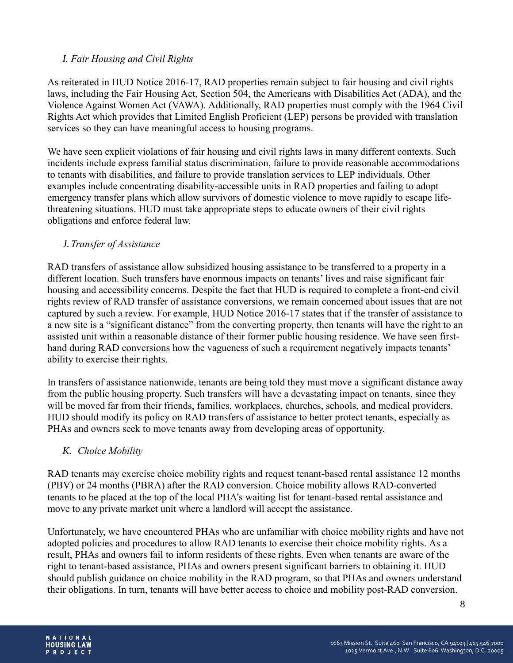## *I. Fair Housing and Civil Rights*

As reiterated in HUD Notice 2016-17, RAD properties remain subject to fair housing and civil rights laws, including the Fair Housing Act, Section 504, the Americans with Disabilities Act (ADA), and the Violence Against Women Act (VAWA). Additionally, RAD properties must comply with the 1964 Civil Rights Act which provides that Limited English Proficient (LEP) persons be provided with translation services so they can have meaningful access to housing programs.

We have seen explicit violations of fair housing and civil rights laws in many different contexts. Such incidents include express familial status discrimination, failure to provide reasonable accommodations to tenants with disabilities, and failure to provide translation services to LEP individuals. Other examples include concentrating disability-accessible units in RAD properties and failing to adopt emergency transfer plans which allow survivors of domestic violence to move rapidly to escape lifethreatening situations. HUD must take appropriate steps to educate owners of their civil rights obligations and enforce federal law.

## *J. Transfer of Assistance*

RAD transfers of assistance allow subsidized housing assistance to be transferred to a property in a different location. Such transfers have enormous impacts on tenants' lives and raise significant fair housing and accessibility concerns. Despite the fact that HUD is required to complete a front-end civil rights review of RAD transfer of assistance conversions, we remain concerned about issues that are not captured by such a review. For example, HUD Notice 2016-17 states that if the transfer of assistance to a new site is a "significant distance" from the converting property, then tenants will have the right to an assisted unit within a reasonable distance of their former public housing residence. We have seen firsthand during RAD conversions how the vagueness of such a requirement negatively impacts tenants' ability to exercise their rights.

In transfers of assistance nationwide, tenants are being told they must move a significant distance away from the public housing property. Such transfers will have a devastating impact on tenants, since they will be moved far from their friends, families, workplaces, churches, schools, and medical providers. HUD should modify its policy on RAD transfers of assistance to better protect tenants, especially as PHAs and owners seek to move tenants away from developing areas of opportunity.

## *K. Choice Mobility*

RAD tenants may exercise choice mobility rights and request tenant-based rental assistance 12 months (PBV) or 24 months (PBRA) after the RAD conversion. Choice mobility allows RAD-converted tenants to be placed at the top of the local PHA's waiting list for tenant-based rental assistance and move to any private market unit where a landlord will accept the assistance.

Unfortunately, we have encountered PHAs who are unfamiliar with choice mobility rights and have not adopted policies and procedures to allow RAD tenants to exercise their choice mobility rights. As a result, PHAs and owners fail to inform residents of these rights. Even when tenants are aware of the right to tenant-based assistance, PHAs and owners present significant barriers to obtaining it. HUD should publish guidance on choice mobility in the RAD program, so that PHAs and owners understand their obligations. In turn, tenants will have better access to choice and mobility post-RAD conversion.